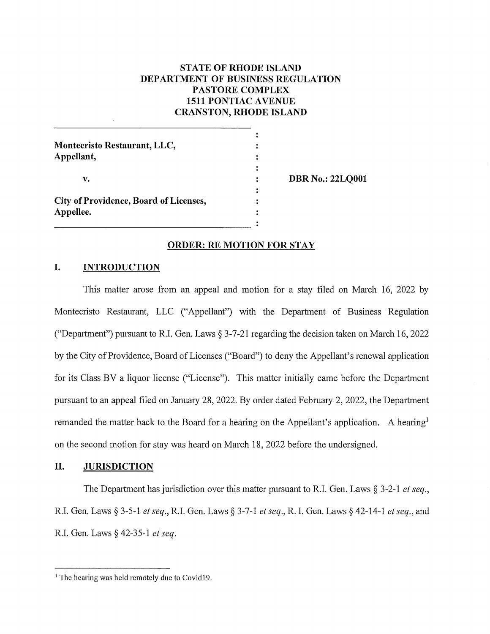# **STATE OF RHODE ISLAND DEPARTMENT OF BUSINESS REGULATION PAS TORE COMPLEX 1511 PONTIAC A VENUE CRANSTON, RHODE ISLAND**

| Montecristo Restaurant, LLC,<br>Appellant, | ٠<br>: |                         |
|--------------------------------------------|--------|-------------------------|
| v.                                         |        | <b>DBR No.: 22LQ001</b> |
|                                            | :      |                         |
| City of Providence, Board of Licenses,     |        |                         |
| Appellee.                                  |        |                         |

### **ORDER: RE MOTION FOR STAY**

## **I. INTRODUCTION**

This matter arose from an appeal and motion for a stay filed on March 16, 2022 by Montecristo Restaurant, LLC ("Appellant") with the Department of Business Regulation ("Department") pursuant to R.I. Gen. Laws § 3-7-21 regarding the decision taken on March 16, 2022 by the City of Providence, Board of Licenses ("Board") to deny the Appellant's renewal application for its Class BV a liquor license ("License"). This matter initially came before the Department pursuant to an appeal filed on January 28, 2022. By order dated February 2, 2022, the Department remanded the matter back to the Board for a hearing on the Appellant's application. A hearing<sup>1</sup> on the second motion for stay was heard on March 18, 2022 before the undersigned.

## **II. JURISDICTION**

The Department has jurisdiction over this matter pursuant to R.I. Gen. Laws § 3-2-1 *et seq.,*  R.I. Gen. Laws§ 3-5-1 *et seq.,* R.I. Gen. Laws§ 3-7-1 *et seq.,* R. I. Gen. Laws§ 42-14-1 *et seq.,* and R.I. Gen. Laws§ 42-35-1 *et seq.* 

<sup>&</sup>lt;sup>1</sup> The hearing was held remotely due to Covid19.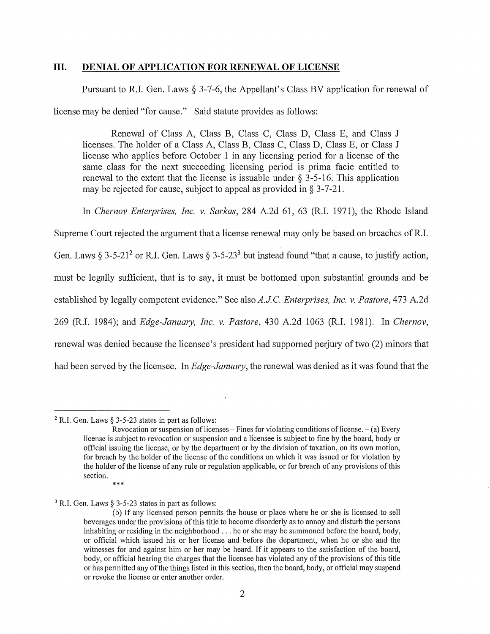## **III. DENIAL OF APPLICATION FOR RENEWAL OF LICENSE**

Pursuant to R.I. Gen. Laws § 3-7-6, the Appellant's Class BV application for renewal of license may be denied "for cause." Said statute provides as follows:

Renewal of Class A, Class B, Class C, Class D, Class E, and Class J licenses. The holder of a Class A, Class B, Class C, Class D, Class E, or Class J license who applies before October 1 in any licensing period for a license of the same class for the next succeeding licensing period is prima facie entitled to renewal to the extent that the license is issuable under  $\S$  3-5-16. This application may be rejected for cause, subject to appeal as provided in§ 3-7-21.

In *Chernov Enterprises, Inc. v. Sarkas*, 284 A.2d 61, 63 (R.I. 1971), the Rhode Island

Supreme Court rejected the argument that a license renewal may only be based on breaches of R.I.

Gen. Laws § 3-5-21<sup>2</sup> or R.I. Gen. Laws § 3-5-23<sup>3</sup> but instead found "that a cause, to justify action,

must be legally sufficient, that is to say, it must be bottomed upon substantial grounds and be

established by legally competent evidence." See also *A.JC. Enterprises, Inc. v. Pastore,* 473 A.2d

269 (R.I. 1984); and *Edge-January, Inc. v. Pastore,* 430 A.2d 1063 (R.I. 1981). In *Chernov,* 

renewal was denied because the licensee's president had suppomed perjury of two (2) minors that

had been served by the licensee. In *Edge-January,* the renewal was denied as it was found that the

 $2$  R.I. Gen. Laws § 3-5-23 states in part as follows:

Revocation or suspension of licenses – Fines for violating conditions of license.  $-$  (a) Every license is subject to revocation or suspension and a licensee is subject to fine by the board, body or official issuing the license, or by the department or by the division of taxation, on its own motion, for breach by the holder of the license of the conditions on which it was issued or for violation by the holder of the license of any rule or regulation applicable, or for breach of any provisions of this section. \*\*\*

 $3$  R.I. Gen. Laws § 3-5-23 states in part as follows:

<sup>(</sup>b) If any licensed person pennits the house or place where he or she is licensed to sell beverages under the provisions of this title to become disorderly as to annoy and disturb the persons inhabiting or residing in the neighborhood  $\ldots$  he or she may be summoned before the board, body, or official which issued his or her license and before the department, when he or she and the witnesses for and against him or her may be heard. If it appears to the satisfaction of the board, body, or official hearing the charges that the licensee has violated any of the provisions of this title or has permitted any of the things listed in this section, then the board, body, or official may suspend or revoke the license or enter another order.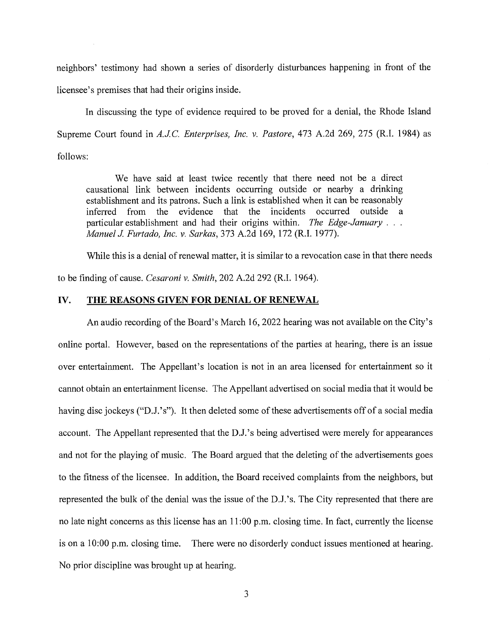neighbors' testimony had shown a series of disorderly disturbances happening in front of the licensee's premises that had their origins inside.

In discussing the type of evidence required to be proved for a denial, the Rhode Island Supreme Court found in *A.JC. Enterprises, Inc. v. Pastore,* 473 A.2d 269, 275 (R.I. 1984) as follows:

We have said at least twice recently that there need not be a direct causational link between incidents occurring outside or nearby a drinking establishment and its patrons. Such a link is established when it can be reasonably inferred from the evidence that the incidents occurred outside a particular establishment and had their origins within. *The Edge-January* . *Manuel J Furtado, Inc. v. Sarkas,* 373 A.2d 169, 172 (R.I. 1977).

While this is a denial of renewal matter, it is similar to a revocation case in that there needs

to be finding of cause. *Cesaroni v. Smith,* 202 A.2d 292 (R.I. 1964).

# **IV. THE REASONS GIVEN FOR DENIAL OF RENEWAL**

An audio recording of the Board's March 16, 2022 hearing was not available on the City's online portal. However, based on the representations of the parties at hearing, there is an issue over entertainment. The Appellant's location is not in an area licensed for entertainment so it cannot obtain an entertainment license. The Appellant advertised on social media that it would be having disc jockeys ("D.J.'s"). It then deleted some of these advertisements off of a social media account. The Appellant represented that the D.J.'s being advertised were merely for appearances and not for the playing of music. The Board argued that the deleting of the advertisements goes to the fitness of the licensee. In addition, the Board received complaints from the neighbors, but represented the bulk of the denial was the issue of the D.J.'s. The City represented that there are no late night concerns as this license has an 11 :00 p.m. closing time. In fact, currently the license is on a 10:00 p.m. closing time. There were no disorderly conduct issues mentioned at hearing. No prior discipline was brought up at hearing.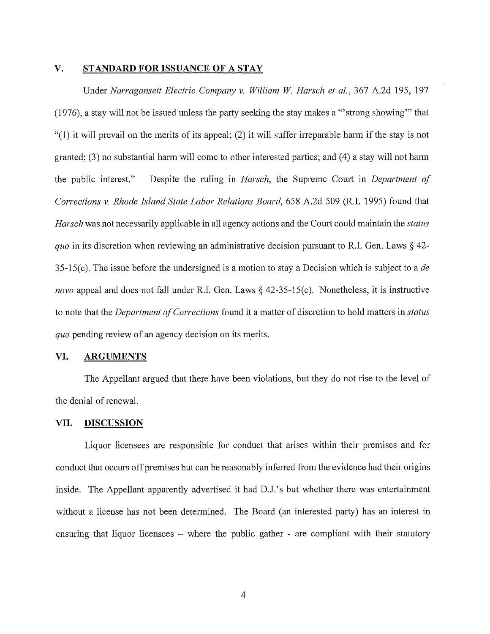### **V. STANDARD FOR ISSUANCE OF A STAY**

Under *Narragansett Electric Company v. William W. Harsch et al.,* 367 A.2d 195, 197 (1976), a stay will not be issued unless the party seeking the stay makes a "'strong showing"' that "(1) it will prevail on the merits of its appeal; (2) it will suffer irreparable harm if the stay is not granted;  $(3)$  no substantial harm will come to other interested parties; and  $(4)$  a stay will not harm the public interest." Despite the ruling in *Harsch*, the Supreme Court in *Department of Corrections v. Rhode Island State Labor Relations Board,* 658 A.2d 509 (R.I. 1995) found that *Harsch* was not necessarily applicable in all agency actions and the Comi could maintain the *status quo* in its discretion when reviewing an administrative decision pursuant to R.I. Gen. Laws § 42- 35-15(c). The issue before the m1dersigned is a motion to stay a Decision which is subject to a *de novo* appeal and does not fall under R.I. Gen. Laws § 42-35-15(c). Nonetheless, it is instructive to note that the *Department of Corrections* found it a matter of discretion to hold matters in *status quo* pending review of an agency decision on its merits.

# **VI. ARGUMENTS**

The Appellant argued that there have been violations, but they do not rise to the level of the denial of renewal.

### **VII. DISCUSSION**

Liquor licensees are responsible for conduct that arises within their premises and for conduct that occurs off premises but can be reasonably inferred from the evidence had their origins inside. The Appellant apparently advertised it had D.J.'s but whether there was entertainment without a license has not been determined. The Board (an interested party) has an interest in ensuring that liquor licensees – where the public gather - are compliant with their statutory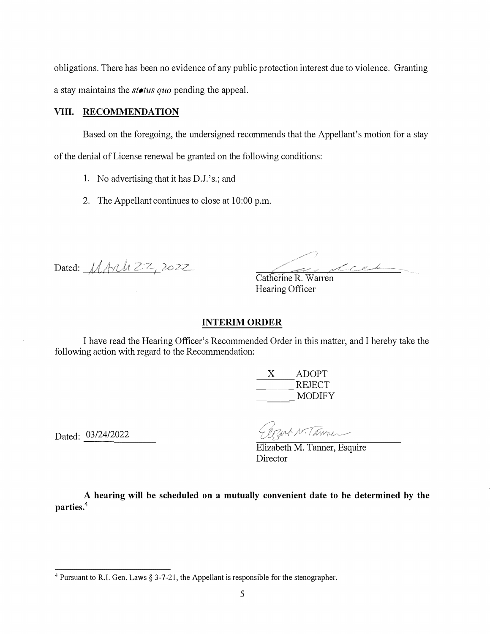obligations. There has been no evidence of any public protection interest due to violence. Granting a stay maintains the *status quo* pending the appeal.

### **VIII. RECOMMENDATION**

Based on the foregoing, the undersigned recommends that the Appellant's motion for a stay of the denial of License renewal be granted on the following conditions:

- 1. No advertising that it has D.J.'s.; and
- 2. The Appellant continues to close at 10:00 p.m.

Dated: MArch 22, 2022

ay della

Catherine R. Warren Hearing Officer

# **INTERIM ORDER**

I have read the Hearing Officer's Recommended Order in this matter, and I hereby take the following action with regard to the Recommendation:

> X ADOPT ---- REJECT - -- MODIFY

Dated: 03/24/2022

Elizart N. Tanner

Elizabeth M. Tanner, Esquire Director

**A hearing will be scheduled on a mutually convenient date to be determined by the parties.<sup>4</sup>**

 $\overline{4}$  Pursuant to R.I. Gen. Laws § 3-7-21, the Appellant is responsible for the stenographer.